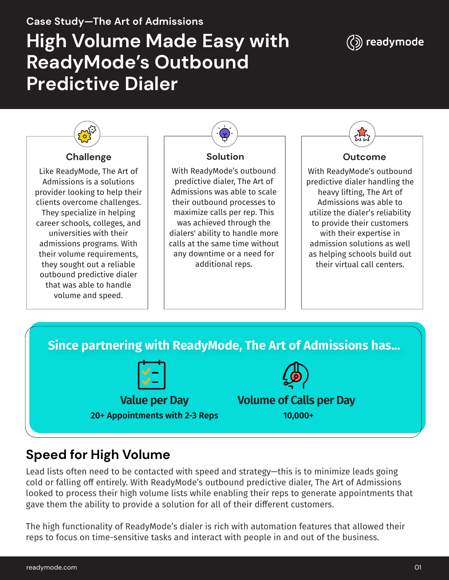# **Case Study—The Art of Admissions High Volume Made Easy with ReadyMode's Outbound Predictive Dialer**





**Since partnering with ReadyMode, The Art of Admissions has... Value per Day** 20+ Appointments with 2-3 Reps **Volume of Calls per Day** 10,000+

## **Speed for High Volume**

Lead lists often need to be contacted with speed and strategy—this is to minimize leads going cold or falling off entirely. With ReadyMode's outbound predictive dialer, The Art of Admissions looked to process their high volume lists while enabling their reps to generate appointments that gave them the ability to provide a solution for all of their different customers.

The high functionality of ReadyMode's dialer is rich with automation features that allowed their reps to focus on time-sensitive tasks and interact with people in and out of the business.